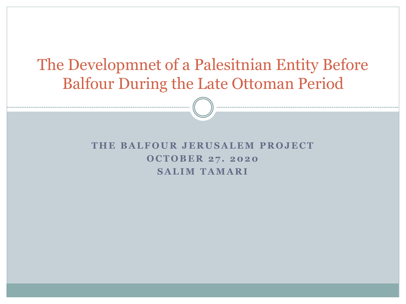### The Developmnet of a Palesitnian Entity Before Balfour During the Late Ottoman Period

#### **T H E B A L F O U R J E R U S A L E M P R O J E C T O C T O B E R 2 7 . 2020 S A L I M T A M A R I**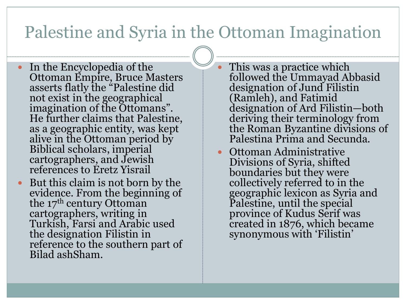### Palestine and Syria in the Ottoman Imagination

- In the Encyclopedia of the Ottoman Empire, Bruce Masters asserts flatly the "Palestine did not exist in the geographical imagination of the Ottomans". He further claims that Palestine, as a geographic entity, was kept alive in the Ottoman period by Biblical scholars, imperial cartographers, and Jewish references to Eretz Yisrail
- But this claim is not born by the evidence. From the beginning of the  $17<sup>th</sup>$  century Ottoman cartographers, writing in Turkish, Farsi and Arabic used the designation Filistin in reference to the southern part of Bilad ashSham.

 This was a practice which followed the Ummayad Abbasid designation of Jund Filistin (Ramleh), and Fatimid designation of Ard Filistin—both deriving their terminology from the Roman Byzantine divisions of Palestina Prima and Secunda.

• Ottoman Administrative Divisions of Syria, shifted boundaries but they were collectively referred to in the geographic lexicon as Syria and Palestine, until the special province of Kudus Serif was created in 1876, which became synonymous with 'Filistin'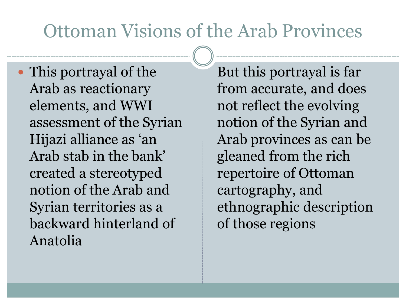### Ottoman Visions of the Arab Provinces

• This portrayal of the Arab as reactionary elements, and WWI assessment of the Syrian Hijazi alliance as 'an Arab stab in the bank' created a stereotyped notion of the Arab and Syrian territories as a backward hinterland of Anatolia

But this portrayal is far from accurate, and does not reflect the evolving notion of the Syrian and Arab provinces as can be gleaned from the rich repertoire of Ottoman cartography, and ethnographic description of those regions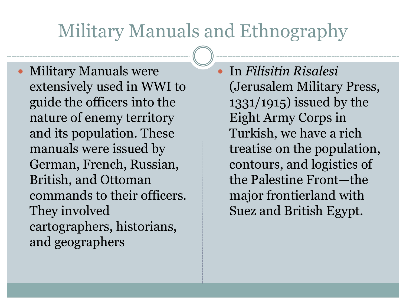# Military Manuals and Ethnography

 Military Manuals were extensively used in WWI to guide the officers into the nature of enemy territory and its population. These manuals were issued by German, French, Russian, British, and Ottoman commands to their officers. They involved cartographers, historians, and geographers

 In *Filisitin Risalesi* (Jerusalem Military Press, 1331/1915) issued by the Eight Army Corps in Turkish, we have a rich treatise on the population, contours, and logistics of the Palestine Front—the major frontierland with Suez and British Egypt.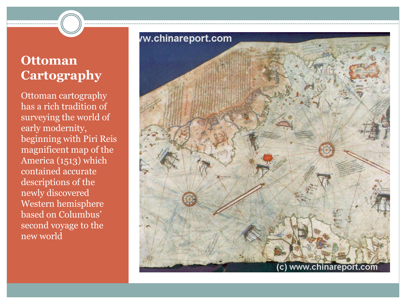### **Ottoman Cartography**

Ottoman cartography has a rich tradition of surveying the world of early modernity, beginning with Piri Reis magnificent map of the America (1513) which contained accurate descriptions of the newly discovered Western hemisphere based on Columbus' second voyage to the new world

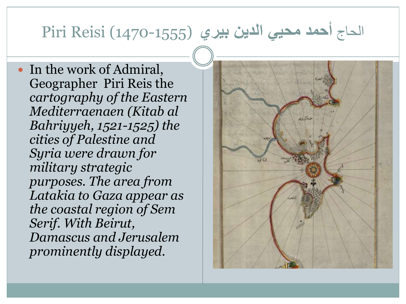### الحاج **أحمد محيي الدين بيري** (1470-1555) Reisi Piri

 In the work of Admiral, Geographer Piri Reis the *cartography of the Eastern Mediterraenaen (Kitab al Bahriyyeh, 1521-1525) the cities of Palestine and Syria were drawn for military strategic purposes. The area from Latakia to Gaza appear as the coastal region of Sem Serif. With Beirut, Damascus and Jerusalem prominently displayed.* 

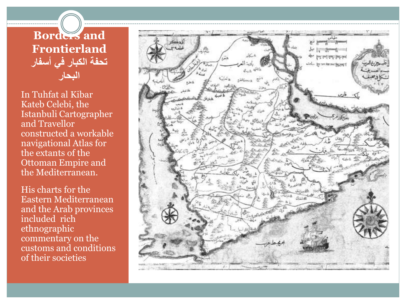#### **Borders and Frontierland تحفة الكبار في أسفار البحار**

In Tuhfat al Kibar Kateb Celebi, the Istanbuli Cartographer and Travellor constructed a workable navigational Atlas for the extants of the Ottoman Empire and the Mediterranean.

His charts for the Eastern Mediterranean and the Arab provinces included rich ethnographic commentary on the customs and conditions of their societies

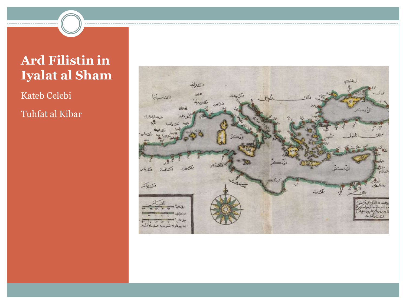### **Ard Filistin in Iyalat al Sham**

Kateb Celebi Tuhfat al Kibar

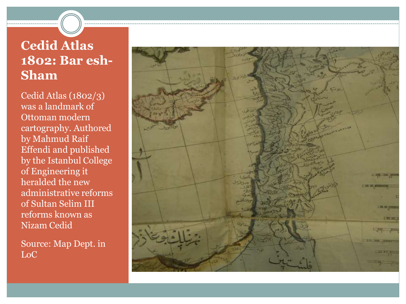### **Cedid Atlas 1802: Bar esh-Sham**

Cedid Atlas (1802/3) was a landmark of Ottoman modern cartography. Authored by Mahmud Raif Effendi and published by the Istanbul College of Engineering it heralded the new administrative reforms of Sultan Selim III reforms known as Nizam Cedid

Source: Map Dept. in LoC

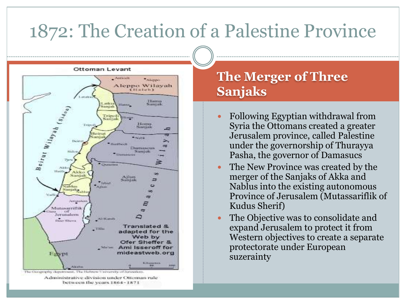# 1872: The Creation of a Palestine Province





#### **The Merger of Three Sanjaks**

- Following Egyptian withdrawal from Syria the Ottomans created a greater Jerusalem province, called Palestine under the governorship of Thurayya Pasha, the governor of Damasucs
- The New Province was created by the merger of the Sanjaks of Akka and Nablus into the existing autonomous Province of Jerusalem (Mutassariflik of Kudus Sherif)
- The Objective was to consolidate and expand Jerusalem to protect it from Western objectives to create a separate protectorate under European suzerainty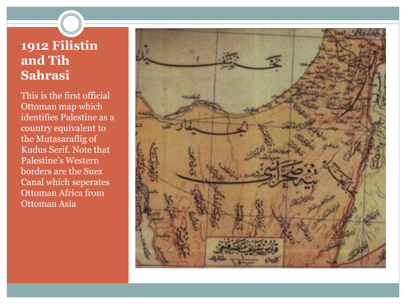### **1912 Filistin and Tih Sahrasi**

This is the first official Ottoman map which identifies Palestine as a country equivalent to the Mutasaraflig of Kudus Serif. Note that Palestine's Western borders are the Suez Canal which seperates Ottoman Africa from Ottoman Asia

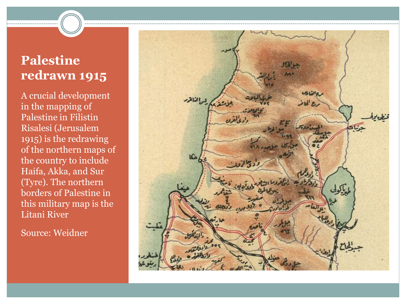### **Palestine redrawn 1915**

A crucial development in the mapping of Palestine in Filistin Risalesi (Jerusalem 1915) is the redrawing of the northern maps of the country to include Haifa, Akka, and Sur (Tyre). The northern borders of Palestine in this military map is the Litani River

Source: Weidner

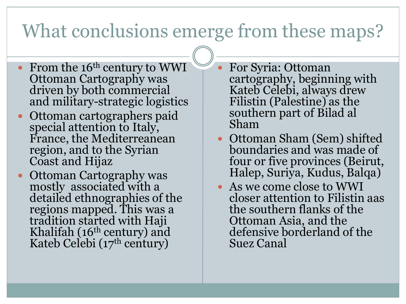# What conclusions emerge from these maps?

- From the 16<sup>th</sup> century to WWI Ottoman Cartography was driven by both commercial and military-strategic logistics
- Ottoman cartographers paid special attention to Italy, France, the Mediterreanean region, and to the Syrian Coast and Hijaz
- Ottoman Cartography was mostly associated with a detailed ethnographies of the regions mapped. This was a tradition started with Haji Khalifah (16th century) and Kateb Celebi (17th century)
- For Syria: Ottoman cartography, beginning with Kateb Celebi, always drew Filistin (Palestine) as the southern part of Bilad al Sham
- Ottoman Sham (Sem) shifted boundaries and was made of four or five provinces (Beirut, Halep, Suriya, Kudus, Balqa)
- As we come close to WWI closer attention to Filistin aas the southern flanks of the Ottoman Asia, and the defensive borderland of the Suez Canal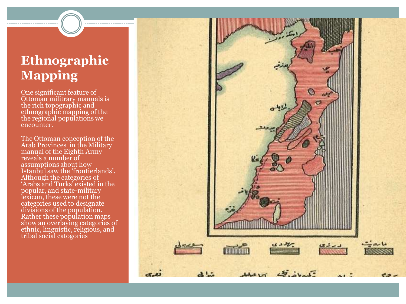### **Ethnographic Mapping**

One significant feature of Ottoman militrary manuals is the rich topographic and ethnographic mapping of the the regional populations we encounter.

The Ottoman conception of the Arab Provinces in the Military manual of the Eighth Army reveals a number of assumptions about how Istanbul saw the 'frontierlands'. Although the categories of 'Arabs and Turks' existed in the popular, and state-military lexicon, these were not the categories used to designate divisions of the population. Rather these population maps show an overlaying categories of ethnic, linguistic, religious, and tribal social catogories

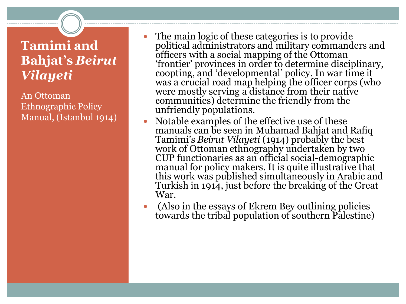### **Tamimi and Bahjat's** *Beirut Vilayeti*

An Ottoman Ethnographic Policy Manual, (Istanbul 1914)

- The main logic of these categories is to provide political administrators and military commanders and officers with a social mapping of the Ottoman 'frontier' provinces in order to determine disciplinary, coopting, and 'developmental' policy. In war time it was a crucial road map helping the officer corps (who were mostly serving a distance from their native communities) determine the friendly from the unfriendly populations.
- Notable examples of the effective use of these manuals can be seen in Muhamad Bahjat and Rafiq Tamimi's *Beirut Vilayeti* (1914) probably the best work of Ottoman ethnography undertaken by two CUP functionaries as an official social-demographic manual for policy makers. It is quite illustrative that this work was published simultaneously in Arabic and Turkish in 1914, just before the breaking of the Great War.
- (Also in the essays of Ekrem Bey outlining policies towards the tribal population of southern Palestine)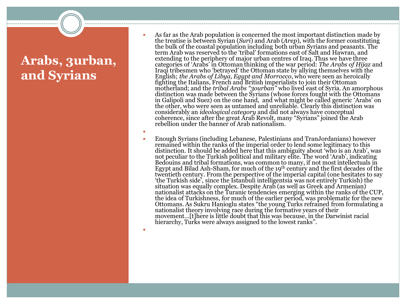### **Arabs, 3urban, and Syrians**

- As far as the Arab population is concerned the most important distinction made by the treatise is between Syrian (*Suri*) and Arab (*Arep*), with the former constituting the bulk of the coastal population including both urban Syrians and peasants. The term Arab was reserved to the 'tribal' formations east of Salt and Hawran, and extending to the periphery of major urban centres of Iraq. Thus we have three categories of 'Arabs' in Ottoman thinking of the war period: *The Arabs of Hijaz* and Iraqi tribesmen who 'betrayed' the Ottoman state by allying themselves with the English; *the Arabs of Libya, Egypt and Morrocco*, who were seen as heroically fighting the Italians, French and British imperialists to join their Ottoman motherland; and the *tribal Arabs "3ourban"* who lived east of Syria. An amorphous distinction was made between the Syrians (whose forces fought with the Ottomans in Galipoli and Suez) on the one hand, and what might be called generic 'Arabs' on the other, who were seen as untamed and unreliable. Clearly this distinction was considerably an *ideological category* and did not always have conceptual coherence, since after the great Arab Revolt, many "Syrians" joined the Arab rebellion under the banner of Arab nationalism.
- 
- $\bullet$  Enough Syrians (including Lebanese, Palestinians and TranJordanians) however remained within the ranks of the imperial order to lend some legitimacy to this distinction. It should be added here that this ambiguity about 'who is an Arab', was not peculiar to the Turkish political and military elite. The word 'Arab', indicating Bedouins and tribal formations, was common to many, if not most intellectuals in Egypt and Bilad Ash-Sham, for much of the 19th century and the first decades of the twentieth century. From the perspective of the imperial capital (one hesitates to say 'the Turkish side', since the Istanbuli intelligentsia was not entirely Turkish) the situation was equally complex. Despite Arab (as well as Greek and Armenian) nationalist attacks on the Turanic tendencies emerging within the ranks of the CUP, the idea of Turkishness, for much of the earlier period, was problematic for the new Ottomans. As Sukru Hanioglu states "the young Turks refrained from formulating a nationalist theory involving race during the formative years of their movement…[t]here is little doubt that this was because, in the Darwinist racial hierarchy, Turks were always assigned to the lowest ranks".
- $\bullet$